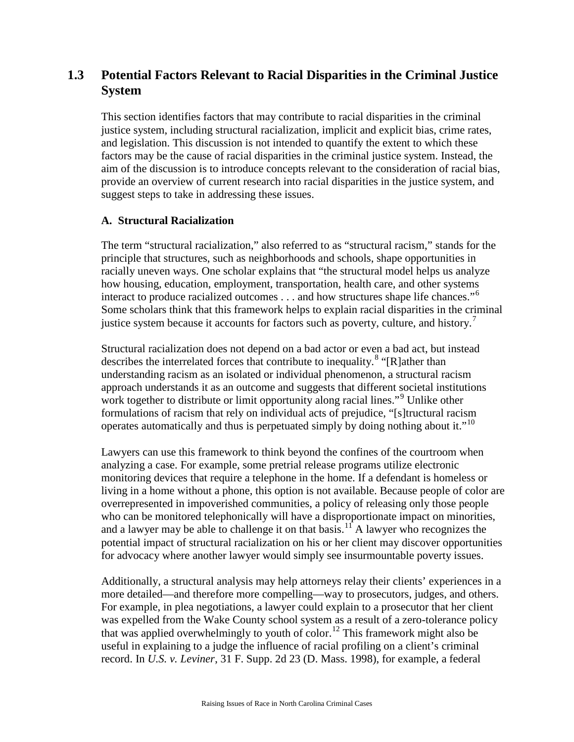# **1.3 Potential Factors Relevant to Racial Disparities in the Criminal Justice System**

This section identifies factors that may contribute to racial disparities in the criminal justice system, including structural racialization, implicit and explicit bias, crime rates, and legislation. This discussion is not intended to quantify the extent to which these factors may be the cause of racial disparities in the criminal justice system. Instead, the aim of the discussion is to introduce concepts relevant to the consideration of racial bias, provide an overview of current research into racial disparities in the justice system, and suggest steps to take in addressing these issues.

## **A. Structural Racialization**

The term "structural racialization," also referred to as "structural racism," stands for the principle that structures, such as neighborhoods and schools, shape opportunities in racially uneven ways. One scholar explains that "the structural model helps us analyze how housing, education, employment, transportation, health care, and other systems interact to produce racialized outcomes . . . and how structures shape life chances."[6](#page-10-0) Some scholars think that this framework helps to explain racial disparities in the criminal justice system because it accounts for factors such as poverty, culture, and history.<sup>[7](#page-10-1)</sup>

Structural racialization does not depend on a bad actor or even a bad act, but instead describes the interrelated forces that contribute to inequality.<sup>[8](#page-10-2)</sup> "[R]ather than understanding racism as an isolated or individual phenomenon, a structural racism approach understands it as an outcome and suggests that different societal institutions work together to distribute or limit opportunity along racial lines."<sup>[9](#page-10-3)</sup> Unlike other formulations of racism that rely on individual acts of prejudice, "[s]tructural racism operates automatically and thus is perpetuated simply by doing nothing about it."<sup>[10](#page-10-4)</sup>

Lawyers can use this framework to think beyond the confines of the courtroom when analyzing a case. For example, some pretrial release programs utilize electronic monitoring devices that require a telephone in the home. If a defendant is homeless or living in a home without a phone, this option is not available. Because people of color are overrepresented in impoverished communities, a policy of releasing only those people who can be monitored telephonically will have a disproportionate impact on minorities, and a lawyer may be able to challenge it on that basis.<sup>[11](#page-10-5)</sup> A lawyer who recognizes the potential impact of structural racialization on his or her client may discover opportunities for advocacy where another lawyer would simply see insurmountable poverty issues.

Additionally, a structural analysis may help attorneys relay their clients' experiences in a more detailed—and therefore more compelling—way to prosecutors, judges, and others. For example, in plea negotiations, a lawyer could explain to a prosecutor that her client was expelled from the Wake County school system as a result of a zero-tolerance policy that was applied overwhelmingly to youth of color.<sup>[12](#page-10-6)</sup> This framework might also be useful in explaining to a judge the influence of racial profiling on a client's criminal record. In *U.S. v. Leviner*, 31 F. Supp. 2d 23 (D. Mass. 1998), for example, a federal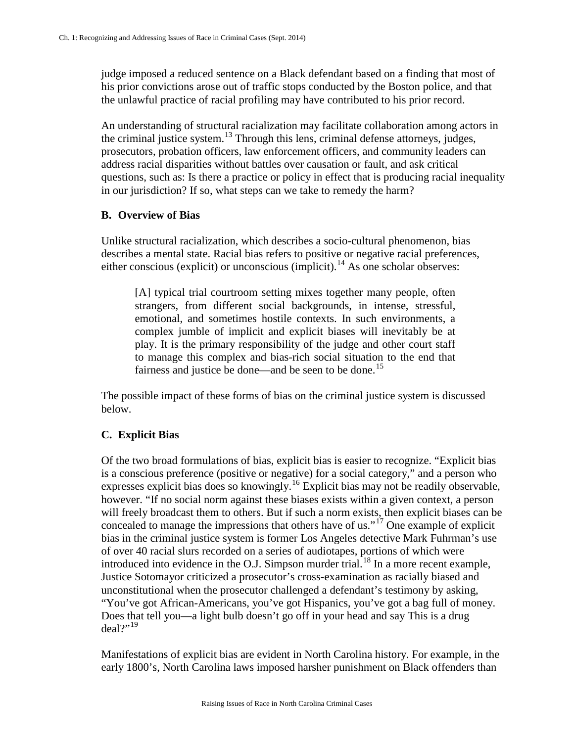judge imposed a reduced sentence on a Black defendant based on a finding that most of his prior convictions arose out of traffic stops conducted by the Boston police, and that the unlawful practice of racial profiling may have contributed to his prior record.

An understanding of structural racialization may facilitate collaboration among actors in the criminal justice system. [13](#page-11-0) Through this lens, criminal defense attorneys, judges, prosecutors, probation officers, law enforcement officers, and community leaders can address racial disparities without battles over causation or fault, and ask critical questions, such as: Is there a practice or policy in effect that is producing racial inequality in our jurisdiction? If so, what steps can we take to remedy the harm?

#### **B. Overview of Bias**

Unlike structural racialization, which describes a socio-cultural phenomenon, bias describes a mental state. Racial bias refers to positive or negative racial preferences, either conscious (explicit) or unconscious (implicit).<sup>[14](#page-11-1)</sup> As one scholar observes:

[A] typical trial courtroom setting mixes together many people, often strangers, from different social backgrounds, in intense, stressful, emotional, and sometimes hostile contexts. In such environments, a complex jumble of implicit and explicit biases will inevitably be at play. It is the primary responsibility of the judge and other court staff to manage this complex and bias-rich social situation to the end that fairness and justice be done—and be seen to be done.<sup>[15](#page-11-2)</sup>

The possible impact of these forms of bias on the criminal justice system is discussed below.

### **C. Explicit Bias**

Of the two broad formulations of bias, explicit bias is easier to recognize. "Explicit bias is a conscious preference (positive or negative) for a social category," and a person who expresses explicit bias does so knowingly.<sup>[16](#page-11-3)</sup> Explicit bias may not be readily observable, however. "If no social norm against these biases exists within a given context, a person will freely broadcast them to others. But if such a norm exists, then explicit biases can be concealed to manage the impressions that others have of us."<sup>[17](#page-11-4)</sup> One example of explicit bias in the criminal justice system is former Los Angeles detective Mark Fuhrman's use of over 40 racial slurs recorded on a series of audiotapes, portions of which were introduced into evidence in the O.J. Simpson murder trial.<sup>[18](#page-11-5)</sup> In a more recent example, Justice Sotomayor criticized a prosecutor's cross-examination as racially biased and unconstitutional when the prosecutor challenged a defendant's testimony by asking, "You've got African-Americans, you've got Hispanics, you've got a bag full of money. Does that tell you—a light bulb doesn't go off in your head and say This is a drug  $deal?$ <sup>[19](#page-11-6)</sup>

Manifestations of explicit bias are evident in North Carolina history. For example, in the early 1800's, North Carolina laws imposed harsher punishment on Black offenders than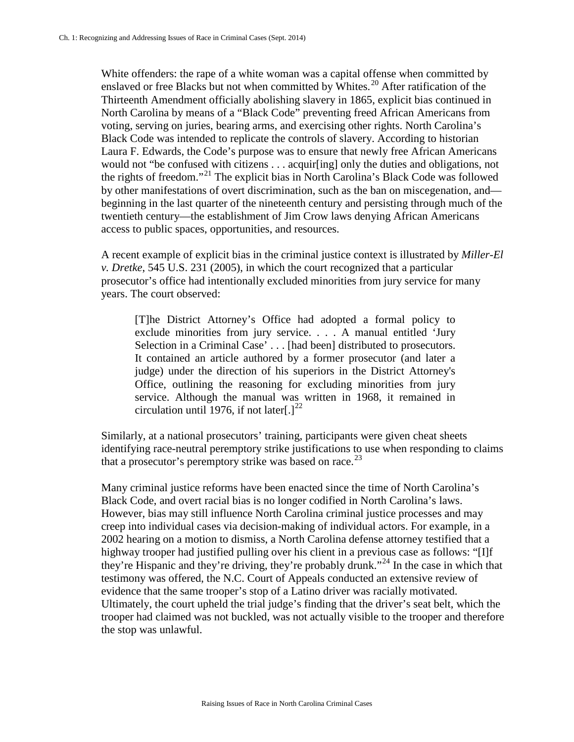White offenders: the rape of a white woman was a capital offense when committed by enslaved or free Blacks but not when committed by Whites.<sup>[20](#page-12-0)</sup> After ratification of the Thirteenth Amendment officially abolishing slavery in 1865, explicit bias continued in North Carolina by means of a "Black Code" preventing freed African Americans from voting, serving on juries, bearing arms, and exercising other rights. North Carolina's Black Code was intended to replicate the controls of slavery. According to historian Laura F. Edwards, the Code's purpose was to ensure that newly free African Americans would not "be confused with citizens . . . acquir[ing] only the duties and obligations, not the rights of freedom."[21](#page-12-1) The explicit bias in North Carolina's Black Code was followed by other manifestations of overt discrimination, such as the ban on miscegenation, and beginning in the last quarter of the nineteenth century and persisting through much of the twentieth century—the establishment of Jim Crow laws denying African Americans access to public spaces, opportunities, and resources.

A recent example of explicit bias in the criminal justice context is illustrated by *Miller-El v. Dretke*, 545 U.S. 231 (2005), in which the court recognized that a particular prosecutor's office had intentionally excluded minorities from jury service for many years. The court observed:

[T]he District Attorney's Office had adopted a formal policy to exclude minorities from jury service. . . . A manual entitled 'Jury Selection in a Criminal Case' . . . [had been] distributed to prosecutors. It contained an article authored by a former prosecutor (and later a judge) under the direction of his superiors in the District Attorney's Office, outlining the reasoning for excluding minorities from jury service. Although the manual was written in 1968, it remained in circulation until 1976, if not later[.]<sup>[22](#page-12-2)</sup>

Similarly, at a national prosecutors' training, participants were given cheat sheets identifying race-neutral peremptory strike justifications to use when responding to claims that a prosecutor's peremptory strike was based on race.<sup>[23](#page-12-3)</sup>

Many criminal justice reforms have been enacted since the time of North Carolina's Black Code, and overt racial bias is no longer codified in North Carolina's laws. However, bias may still influence North Carolina criminal justice processes and may creep into individual cases via decision-making of individual actors. For example, in a 2002 hearing on a motion to dismiss, a North Carolina defense attorney testified that a highway trooper had justified pulling over his client in a previous case as follows: "[I]f they're Hispanic and they're driving, they're probably drunk."<sup>[24](#page-12-4)</sup> In the case in which that testimony was offered, the N.C. Court of Appeals conducted an extensive review of evidence that the same trooper's stop of a Latino driver was racially motivated. Ultimately, the court upheld the trial judge's finding that the driver's seat belt, which the trooper had claimed was not buckled, was not actually visible to the trooper and therefore the stop was unlawful.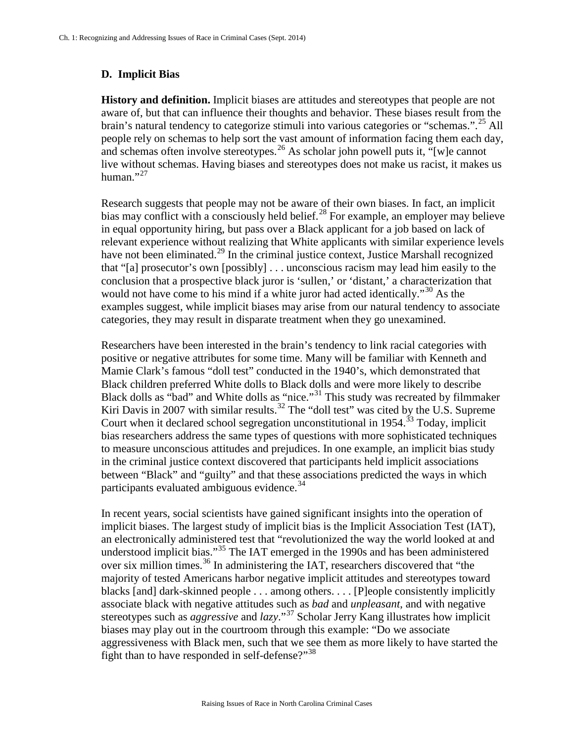## **D. Implicit Bias**

**History and definition.** Implicit biases are attitudes and stereotypes that people are not aware of, but that can influence their thoughts and behavior. These biases result from the brain's natural tendency to categorize stimuli into various categories or "schemas.".<sup>[25](#page-13-0)</sup> All people rely on schemas to help sort the vast amount of information facing them each day, and schemas often involve stereotypes.<sup>[26](#page-13-1)</sup> As scholar john powell puts it, "[w]e cannot live without schemas. Having biases and stereotypes does not make us racist, it makes us human." $^{27}$  $^{27}$  $^{27}$ 

Research suggests that people may not be aware of their own biases. In fact, an implicit bias may conflict with a consciously held belief.<sup>[28](#page-13-3)</sup> For example, an employer may believe in equal opportunity hiring, but pass over a Black applicant for a job based on lack of relevant experience without realizing that White applicants with similar experience levels have not been eliminated.<sup>[29](#page-13-4)</sup> In the criminal justice context, Justice Marshall recognized that "[a] prosecutor's own [possibly] . . . unconscious racism may lead him easily to the conclusion that a prospective black juror is 'sullen,' or 'distant,' a characterization that would not have come to his mind if a white juror had acted identically."<sup>[30](#page-13-5)</sup> As the examples suggest, while implicit biases may arise from our natural tendency to associate categories, they may result in disparate treatment when they go unexamined.

Researchers have been interested in the brain's tendency to link racial categories with positive or negative attributes for some time. Many will be familiar with Kenneth and Mamie Clark's famous "doll test" conducted in the 1940's, which demonstrated that Black children preferred White dolls to Black dolls and were more likely to describe Black dolls as "bad" and White dolls as "nice."<sup>[31](#page-13-6)</sup> This study was recreated by filmmaker Kiri Davis in 2007 with similar results.<sup>[32](#page-13-7)</sup> The "doll test" was cited by the U.S. Supreme Court when it declared school segregation unconstitutional in 1954.<sup>[33](#page-13-8)</sup> Today, implicit bias researchers address the same types of questions with more sophisticated techniques to measure unconscious attitudes and prejudices. In one example, an implicit bias study in the criminal justice context discovered that participants held implicit associations between "Black" and "guilty" and that these associations predicted the ways in which participants evaluated ambiguous evidence.<sup>[34](#page-13-9)</sup>

In recent years, social scientists have gained significant insights into the operation of implicit biases. The largest study of implicit bias is the Implicit Association Test (IAT), an electronically administered test that "revolutionized the way the world looked at and understood implicit bias."[35](#page-13-10) The IAT emerged in the 1990s and has been administered over six million times.[36](#page-13-11) In administering the IAT, researchers discovered that "the majority of tested Americans harbor negative implicit attitudes and stereotypes toward blacks [and] dark-skinned people . . . among others. . . . [P]eople consistently implicitly associate black with negative attitudes such as *bad* and *unpleasant*, and with negative stereotypes such as *aggressive* and *lazy*."[37](#page-13-12) Scholar Jerry Kang illustrates how implicit biases may play out in the courtroom through this example: "Do we associate aggressiveness with Black men, such that we see them as more likely to have started the fight than to have responded in self-defense?"<sup>[38](#page-13-13)</sup>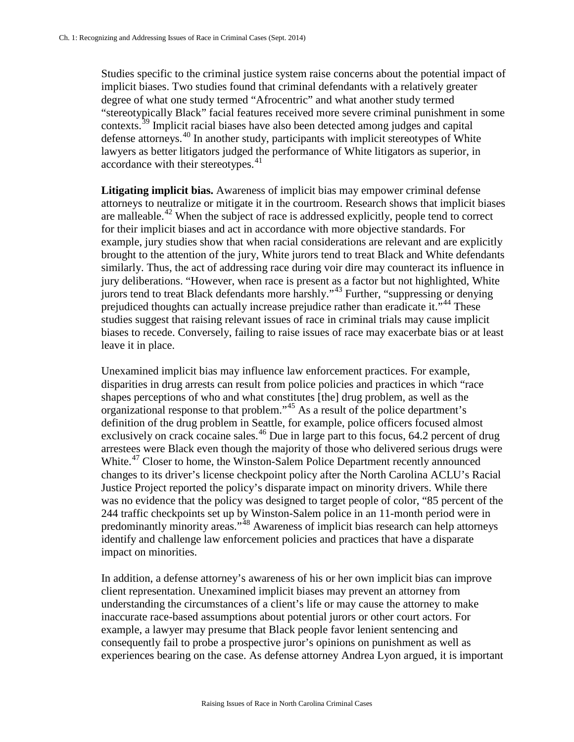Studies specific to the criminal justice system raise concerns about the potential impact of implicit biases. Two studies found that criminal defendants with a relatively greater degree of what one study termed "Afrocentric" and what another study termed "stereotypically Black" facial features received more severe criminal punishment in some contexts.<sup>[39](#page-14-0)</sup> Implicit racial biases have also been detected among judges and capital defense attorneys.[40](#page-14-1) In another study, participants with implicit stereotypes of White lawyers as better litigators judged the performance of White litigators as superior, in accordance with their stereotypes. [41](#page-14-2)

**Litigating implicit bias.** Awareness of implicit bias may empower criminal defense attorneys to neutralize or mitigate it in the courtroom. Research shows that implicit biases are malleable.<sup>[42](#page-14-3)</sup> When the subject of race is addressed explicitly, people tend to correct for their implicit biases and act in accordance with more objective standards. For example, jury studies show that when racial considerations are relevant and are explicitly brought to the attention of the jury, White jurors tend to treat Black and White defendants similarly. Thus, the act of addressing race during voir dire may counteract its influence in jury deliberations. "However, when race is present as a factor but not highlighted, White jurors tend to treat Black defendants more harshly."[43](#page-14-4) Further, "suppressing or denying prejudiced thoughts can actually increase prejudice rather than eradicate it."<sup>[44](#page-14-5)</sup> These studies suggest that raising relevant issues of race in criminal trials may cause implicit biases to recede. Conversely, failing to raise issues of race may exacerbate bias or at least leave it in place.

Unexamined implicit bias may influence law enforcement practices. For example, disparities in drug arrests can result from police policies and practices in which "race shapes perceptions of who and what constitutes [the] drug problem, as well as the organizational response to that problem."[45](#page-14-6) As a result of the police department's definition of the drug problem in Seattle, for example, police officers focused almost exclusively on crack cocaine sales.<sup>[46](#page-14-7)</sup> Due in large part to this focus, 64.2 percent of drug arrestees were Black even though the majority of those who delivered serious drugs were White.<sup>[47](#page-14-8)</sup> Closer to home, the Winston-Salem Police Department recently announced changes to its driver's license checkpoint policy after the North Carolina ACLU's Racial Justice Project reported the policy's disparate impact on minority drivers. While there was no evidence that the policy was designed to target people of color, "85 percent of the 244 traffic checkpoints set up by Winston-Salem police in an 11-month period were in predominantly minority areas."<sup>[48](#page-14-9)</sup> Awareness of implicit bias research can help attorneys identify and challenge law enforcement policies and practices that have a disparate impact on minorities.

In addition, a defense attorney's awareness of his or her own implicit bias can improve client representation. Unexamined implicit biases may prevent an attorney from understanding the circumstances of a client's life or may cause the attorney to make inaccurate race-based assumptions about potential jurors or other court actors. For example, a lawyer may presume that Black people favor lenient sentencing and consequently fail to probe a prospective juror's opinions on punishment as well as experiences bearing on the case. As defense attorney Andrea Lyon argued, it is important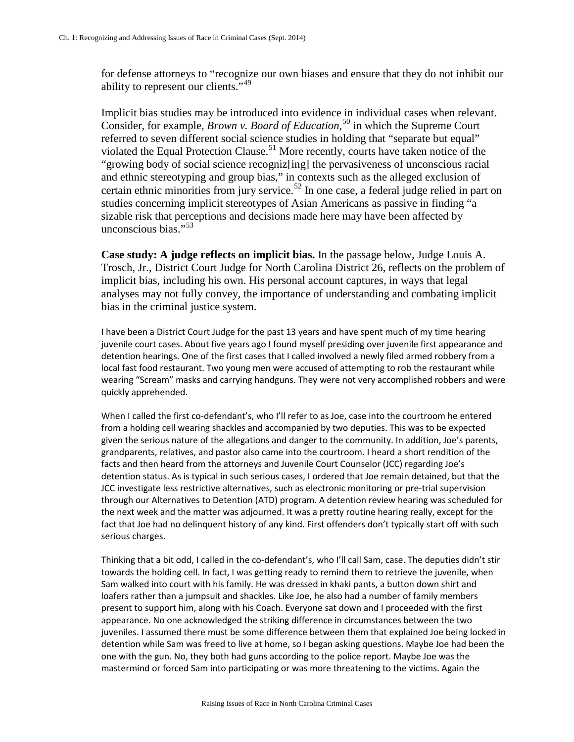for defense attorneys to "recognize our own biases and ensure that they do not inhibit our ability to represent our clients."<sup>[49](#page-15-0)</sup>

Implicit bias studies may be introduced into evidence in individual cases when relevant. Consider, for example, *Brown v. Board of Education*, [50](#page-15-1) in which the Supreme Court referred to seven different social science studies in holding that "separate but equal" violated the Equal Protection Clause.<sup>[51](#page-15-2)</sup> More recently, courts have taken notice of the "growing body of social science recogniz[ing] the pervasiveness of unconscious racial and ethnic stereotyping and group bias," in contexts such as the alleged exclusion of certain ethnic minorities from jury service.<sup>[52](#page-15-3)</sup> In one case, a federal judge relied in part on studies concerning implicit stereotypes of Asian Americans as passive in finding "a sizable risk that perceptions and decisions made here may have been affected by unconscious bias."<sup>[53](#page-15-4)</sup>

**Case study: A judge reflects on implicit bias.** In the passage below, Judge Louis A. Trosch, Jr., District Court Judge for North Carolina District 26, reflects on the problem of implicit bias, including his own. His personal account captures, in ways that legal analyses may not fully convey, the importance of understanding and combating implicit bias in the criminal justice system.

I have been a District Court Judge for the past 13 years and have spent much of my time hearing juvenile court cases. About five years ago I found myself presiding over juvenile first appearance and detention hearings. One of the first cases that I called involved a newly filed armed robbery from a local fast food restaurant. Two young men were accused of attempting to rob the restaurant while wearing "Scream" masks and carrying handguns. They were not very accomplished robbers and were quickly apprehended.

When I called the first co-defendant's, who I'll refer to as Joe, case into the courtroom he entered from a holding cell wearing shackles and accompanied by two deputies. This was to be expected given the serious nature of the allegations and danger to the community. In addition, Joe's parents, grandparents, relatives, and pastor also came into the courtroom. I heard a short rendition of the facts and then heard from the attorneys and Juvenile Court Counselor (JCC) regarding Joe's detention status. As is typical in such serious cases, I ordered that Joe remain detained, but that the JCC investigate less restrictive alternatives, such as electronic monitoring or pre-trial supervision through our Alternatives to Detention (ATD) program. A detention review hearing was scheduled for the next week and the matter was adjourned. It was a pretty routine hearing really, except for the fact that Joe had no delinquent history of any kind. First offenders don't typically start off with such serious charges.

Thinking that a bit odd, I called in the co-defendant's, who I'll call Sam, case. The deputies didn't stir towards the holding cell. In fact, I was getting ready to remind them to retrieve the juvenile, when Sam walked into court with his family. He was dressed in khaki pants, a button down shirt and loafers rather than a jumpsuit and shackles. Like Joe, he also had a number of family members present to support him, along with his Coach. Everyone sat down and I proceeded with the first appearance. No one acknowledged the striking difference in circumstances between the two juveniles. I assumed there must be some difference between them that explained Joe being locked in detention while Sam was freed to live at home, so I began asking questions. Maybe Joe had been the one with the gun. No, they both had guns according to the police report. Maybe Joe was the mastermind or forced Sam into participating or was more threatening to the victims. Again the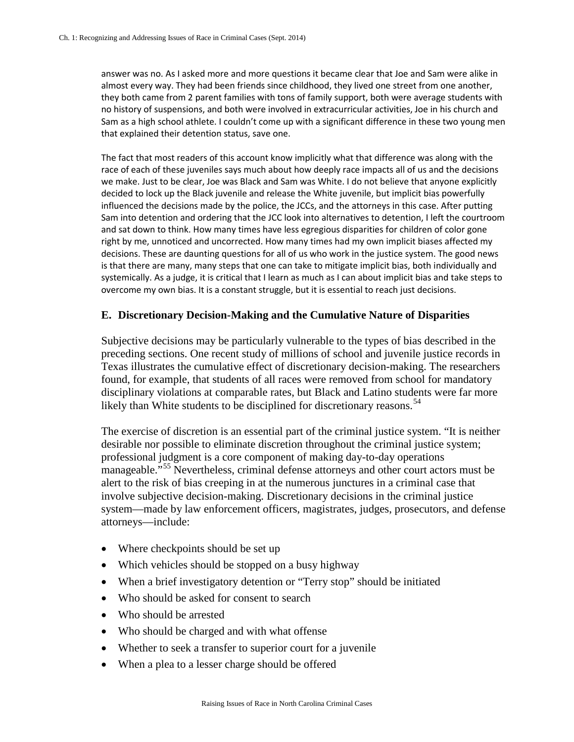answer was no. As I asked more and more questions it became clear that Joe and Sam were alike in almost every way. They had been friends since childhood, they lived one street from one another, they both came from 2 parent families with tons of family support, both were average students with no history of suspensions, and both were involved in extracurricular activities, Joe in his church and Sam as a high school athlete. I couldn't come up with a significant difference in these two young men that explained their detention status, save one.

The fact that most readers of this account know implicitly what that difference was along with the race of each of these juveniles says much about how deeply race impacts all of us and the decisions we make. Just to be clear, Joe was Black and Sam was White. I do not believe that anyone explicitly decided to lock up the Black juvenile and release the White juvenile, but implicit bias powerfully influenced the decisions made by the police, the JCCs, and the attorneys in this case. After putting Sam into detention and ordering that the JCC look into alternatives to detention, I left the courtroom and sat down to think. How many times have less egregious disparities for children of color gone right by me, unnoticed and uncorrected. How many times had my own implicit biases affected my decisions. These are daunting questions for all of us who work in the justice system. The good news is that there are many, many steps that one can take to mitigate implicit bias, both individually and systemically. As a judge, it is critical that I learn as much as I can about implicit bias and take steps to overcome my own bias. It is a constant struggle, but it is essential to reach just decisions.

#### **E. Discretionary Decision-Making and the Cumulative Nature of Disparities**

Subjective decisions may be particularly vulnerable to the types of bias described in the preceding sections. One recent study of millions of school and juvenile justice records in Texas illustrates the cumulative effect of discretionary decision-making. The researchers found, for example, that students of all races were removed from school for mandatory disciplinary violations at comparable rates, but Black and Latino students were far more likely than White students to be disciplined for discretionary reasons.<sup>[54](#page-15-5)</sup>

The exercise of discretion is an essential part of the criminal justice system. "It is neither desirable nor possible to eliminate discretion throughout the criminal justice system; professional judgment is a core component of making day-to-day operations manageable."[55](#page-15-6) Nevertheless, criminal defense attorneys and other court actors must be alert to the risk of bias creeping in at the numerous junctures in a criminal case that involve subjective decision-making. Discretionary decisions in the criminal justice system—made by law enforcement officers, magistrates, judges, prosecutors, and defense attorneys—include:

- Where checkpoints should be set up
- Which vehicles should be stopped on a busy highway
- When a brief investigatory detention or "Terry stop" should be initiated
- Who should be asked for consent to search
- Who should be arrested
- Who should be charged and with what offense
- Whether to seek a transfer to superior court for a juvenile
- When a plea to a lesser charge should be offered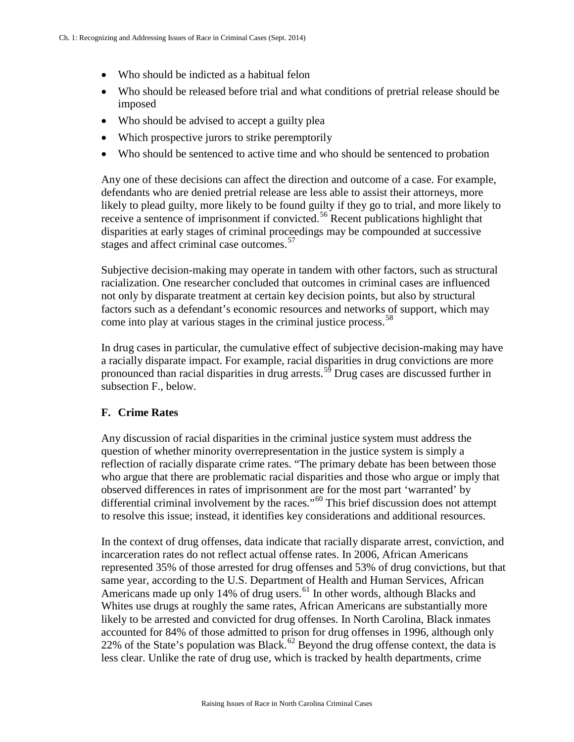- Who should be indicted as a habitual felon
- Who should be released before trial and what conditions of pretrial release should be imposed
- Who should be advised to accept a guilty plea
- Which prospective jurors to strike peremptorily
- Who should be sentenced to active time and who should be sentenced to probation

Any one of these decisions can affect the direction and outcome of a case. For example, defendants who are denied pretrial release are less able to assist their attorneys, more likely to plead guilty, more likely to be found guilty if they go to trial, and more likely to receive a sentence of imprisonment if convicted.<sup>[56](#page-16-0)</sup> Recent publications highlight that disparities at early stages of criminal proceedings may be compounded at successive stages and affect criminal case outcomes.<sup>[57](#page-16-1)</sup>

Subjective decision-making may operate in tandem with other factors, such as structural racialization. One researcher concluded that outcomes in criminal cases are influenced not only by disparate treatment at certain key decision points, but also by structural factors such as a defendant's economic resources and networks of support, which may come into play at various stages in the criminal justice process.<sup>[58](#page-16-2)</sup>

In drug cases in particular, the cumulative effect of subjective decision-making may have a racially disparate impact. For example, racial disparities in drug convictions are more pronounced than racial disparities in drug arrests.<sup>[59](#page-16-3)</sup> Drug cases are discussed further in subsection F., below.

# **F. Crime Rates**

Any discussion of racial disparities in the criminal justice system must address the question of whether minority overrepresentation in the justice system is simply a reflection of racially disparate crime rates. "The primary debate has been between those who argue that there are problematic racial disparities and those who argue or imply that observed differences in rates of imprisonment are for the most part 'warranted' by differential criminal involvement by the races."<sup>[60](#page-16-4)</sup> This brief discussion does not attempt to resolve this issue; instead, it identifies key considerations and additional resources.

In the context of drug offenses, data indicate that racially disparate arrest, conviction, and incarceration rates do not reflect actual offense rates. In 2006, African Americans represented 35% of those arrested for drug offenses and 53% of drug convictions, but that same year, according to the U.S. Department of Health and Human Services, African Americans made up only 14% of drug users.<sup>[61](#page-16-5)</sup> In other words, although Blacks and Whites use drugs at roughly the same rates, African Americans are substantially more likely to be arrested and convicted for drug offenses. In North Carolina, Black inmates accounted for 84% of those admitted to prison for drug offenses in 1996, although only 22% of the State's population was Black.<sup>[62](#page-16-6)</sup> Beyond the drug offense context, the data is less clear. Unlike the rate of drug use, which is tracked by health departments, crime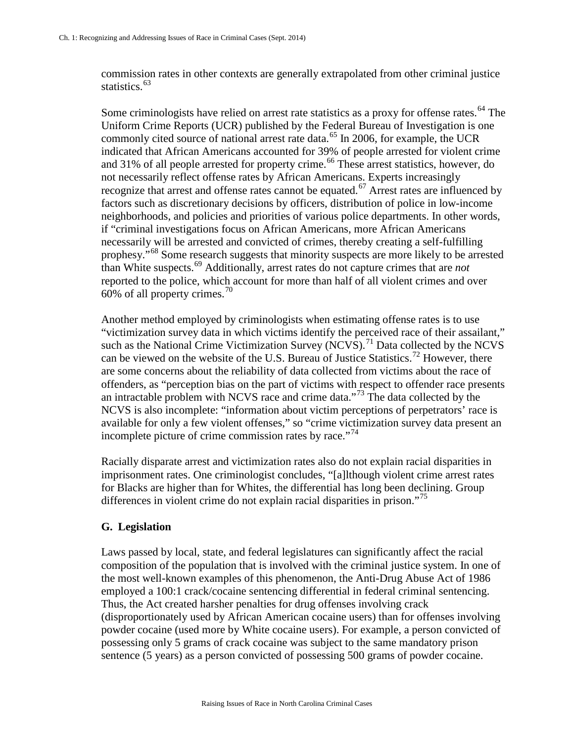commission rates in other contexts are generally extrapolated from other criminal justice statistics.<sup>[63](#page-16-7)</sup>

Some criminologists have relied on arrest rate statistics as a proxy for offense rates.<sup>[64](#page-16-8)</sup> The Uniform Crime Reports (UCR) published by the Federal Bureau of Investigation is one commonly cited source of national arrest rate data. [65](#page-16-9) In 2006, for example, the UCR indicated that African Americans accounted for 39% of people arrested for violent crime and 31% of all people arrested for property crime.<sup>[66](#page-16-10)</sup> These arrest statistics, however, do not necessarily reflect offense rates by African Americans. Experts increasingly recognize that arrest and offense rates cannot be equated.<sup>[67](#page-16-1)</sup> Arrest rates are influenced by factors such as discretionary decisions by officers, distribution of police in low-income neighborhoods, and policies and priorities of various police departments. In other words, if "criminal investigations focus on African Americans, more African Americans necessarily will be arrested and convicted of crimes, thereby creating a self-fulfilling prophesy."[68](#page-16-11) Some research suggests that minority suspects are more likely to be arrested than White suspects.[69](#page-16-12) Additionally, arrest rates do not capture crimes that are *not* reported to the police, which account for more than half of all violent crimes and over 60% of all property crimes.<sup>[70](#page-16-13)</sup>

Another method employed by criminologists when estimating offense rates is to use "victimization survey data in which victims identify the perceived race of their assailant," such as the National Crime Victimization Survey (NCVS).<sup>[71](#page-16-14)</sup> Data collected by the NCVS can be viewed on the website of the U.S. Bureau of Justice Statistics.<sup>[72](#page-16-15)</sup> However, there are some concerns about the reliability of data collected from victims about the race of offenders, as "perception bias on the part of victims with respect to offender race presents an intractable problem with NCVS race and crime data."[73](#page-16-16) The data collected by the NCVS is also incomplete: "information about victim perceptions of perpetrators' race is available for only a few violent offenses," so "crime victimization survey data present an incomplete picture of crime commission rates by race. $174$  $174$ 

Racially disparate arrest and victimization rates also do not explain racial disparities in imprisonment rates. One criminologist concludes, "[a]lthough violent crime arrest rates for Blacks are higher than for Whites, the differential has long been declining. Group differences in violent crime do not explain racial disparities in prison."[75](#page-16-18)

### **G. Legislation**

Laws passed by local, state, and federal legislatures can significantly affect the racial composition of the population that is involved with the criminal justice system. In one of the most well-known examples of this phenomenon, the Anti-Drug Abuse Act of 1986 employed a 100:1 crack/cocaine sentencing differential in federal criminal sentencing. Thus, the Act created harsher penalties for drug offenses involving crack (disproportionately used by African American cocaine users) than for offenses involving powder cocaine (used more by White cocaine users). For example, a person convicted of possessing only 5 grams of crack cocaine was subject to the same mandatory prison sentence (5 years) as a person convicted of possessing 500 grams of powder cocaine.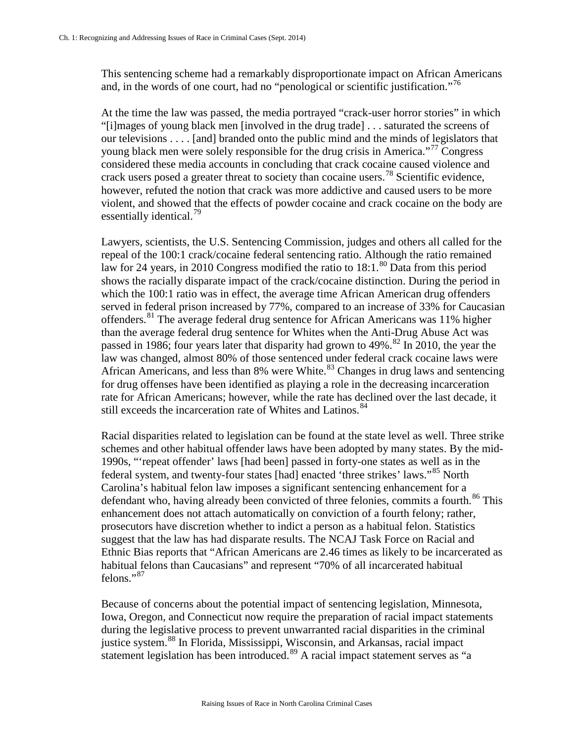This sentencing scheme had a remarkably disproportionate impact on African Americans and, in the words of one court, had no "penological or scientific justification."<sup>[76](#page-16-19)</sup>

At the time the law was passed, the media portrayed "crack-user horror stories" in which "[i]mages of young black men [involved in the drug trade] . . . saturated the screens of our televisions . . . . [and] branded onto the public mind and the minds of legislators that young black men were solely responsible for the drug crisis in America."[77](#page-16-20) Congress considered these media accounts in concluding that crack cocaine caused violence and crack users posed a greater threat to society than cocaine users.<sup>[78](#page-16-21)</sup> Scientific evidence, however, refuted the notion that crack was more addictive and caused users to be more violent, and showed that the effects of powder cocaine and crack cocaine on the body are essentially identical. $^{79}$  $^{79}$  $^{79}$ 

Lawyers, scientists, the U.S. Sentencing Commission, judges and others all called for the repeal of the 100:1 crack/cocaine federal sentencing ratio. Although the ratio remained law for 24 years, in 2010 Congress modified the ratio to  $18:1.^{80}$  $18:1.^{80}$  $18:1.^{80}$  Data from this period shows the racially disparate impact of the crack/cocaine distinction. During the period in which the 100:1 ratio was in effect, the average time African American drug offenders served in federal prison increased by 77%, compared to an increase of 33% for Caucasian offenders.<sup>[81](#page-16-24)</sup> The average federal drug sentence for African Americans was 11% higher than the average federal drug sentence for Whites when the Anti-Drug Abuse Act was passed in 1986; four years later that disparity had grown to  $49\%$ .<sup>[82](#page-16-25)</sup> In 2010, the year the law was changed, almost 80% of those sentenced under federal crack cocaine laws were African Americans, and less than 8% were White.<sup>[83](#page-16-26)</sup> Changes in drug laws and sentencing for drug offenses have been identified as playing a role in the decreasing incarceration rate for African Americans; however, while the rate has declined over the last decade, it still exceeds the incarceration rate of Whites and Latinos.<sup>[84](#page-16-27)</sup>

Racial disparities related to legislation can be found at the state level as well. Three strike schemes and other habitual offender laws have been adopted by many states. By the mid-1990s, "'repeat offender' laws [had been] passed in forty-one states as well as in the federal system, and twenty-four states [had] enacted 'three strikes' laws."[85](#page-16-28) North Carolina's habitual felon law imposes a significant sentencing enhancement for a defendant who, having already been convicted of three felonies, commits a fourth.<sup>[86](#page-16-29)</sup> This enhancement does not attach automatically on conviction of a fourth felony; rather, prosecutors have discretion whether to indict a person as a habitual felon. Statistics suggest that the law has had disparate results. The NCAJ Task Force on Racial and Ethnic Bias reports that "African Americans are 2.46 times as likely to be incarcerated as habitual felons than Caucasians" and represent "70% of all incarcerated habitual felons."<sup>[87](#page-16-30)</sup>

Because of concerns about the potential impact of sentencing legislation, Minnesota, Iowa, Oregon, and Connecticut now require the preparation of racial impact statements during the legislative process to prevent unwarranted racial disparities in the criminal justice system.<sup>[88](#page-16-31)</sup> In Florida, Mississippi, Wisconsin, and Arkansas, racial impact statement legislation has been introduced.<sup>[89](#page-16-21)</sup> A racial impact statement serves as "a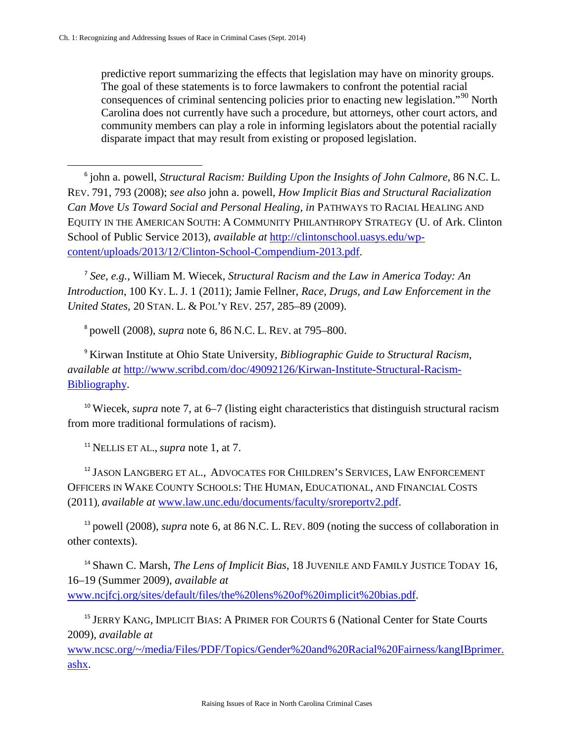l

predictive report summarizing the effects that legislation may have on minority groups. The goal of these statements is to force lawmakers to confront the potential racial consequences of criminal sentencing policies prior to enacting new legislation."<sup>[90](#page-16-10)</sup> North Carolina does not currently have such a procedure, but attorneys, other court actors, and community members can play a role in informing legislators about the potential racially disparate impact that may result from existing or proposed legislation.

<span id="page-10-0"></span><sup>6</sup> john a. powell, *Structural Racism: Building Upon the Insights of John Calmore*, 86 N.C. L. REV. 791, 793 (2008); *see also* john a. powell, *How Implicit Bias and Structural Racialization Can Move Us Toward Social and Personal Healing, in* PATHWAYS TO RACIAL HEALING AND EQUITY IN THE AMERICAN SOUTH: A COMMUNITY PHILANTHROPY STRATEGY (U. of Ark. Clinton School of Public Service 2013), *available at* [http://clintonschool.uasys.edu/wp](http://clintonschool.uasys.edu/wp-content/uploads/2013/12/Clinton-School-Compendium-2013.pdf)[content/uploads/2013/12/Clinton-School-Compendium-2013.pdf.](http://clintonschool.uasys.edu/wp-content/uploads/2013/12/Clinton-School-Compendium-2013.pdf)

<span id="page-10-1"></span><sup>7</sup> *See, e.g.*, William M. Wiecek, *Structural Racism and the Law in America Today: An Introduction*, 100 KY. L. J. 1 (2011); Jamie Fellner, *Race, Drugs, and Law Enforcement in the United States*, 20 STAN. L. & POL'Y REV. 257, 285–89 (2009).

<sup>8</sup> powell (2008), *supra* note 6, 86 N.C. L. REV. at 795–800.

<span id="page-10-3"></span><span id="page-10-2"></span><sup>9</sup> Kirwan Institute at Ohio State University, *Bibliographic Guide to Structural Racism*, *available at* [http://www.scribd.com/doc/49092126/Kirwan-Institute-Structural-Racism-](http://www.scribd.com/doc/49092126/Kirwan-Institute-Structural-Racism-Bibliography)[Bibliography.](http://www.scribd.com/doc/49092126/Kirwan-Institute-Structural-Racism-Bibliography)

<span id="page-10-4"></span><sup>10</sup> Wiecek, *supra* note 7, at 6–7 (listing eight characteristics that distinguish structural racism from more traditional formulations of racism).

<sup>11</sup> NELLIS ET AL., *supra* note 1, at 7.

<span id="page-10-6"></span><span id="page-10-5"></span><sup>12</sup> JASON LANGBERG ET AL., ADVOCATES FOR CHILDREN'S SERVICES, LAW ENFORCEMENT OFFICERS IN WAKE COUNTY SCHOOLS: THE HUMAN, EDUCATIONAL, AND FINANCIAL COSTS (2011), *available at* [www.law.unc.edu/documents/faculty/sroreportv2.pdf.](http://www.law.unc.edu/documents/faculty/sroreportv2.pdf)

<sup>13</sup> powell (2008), *supra* note 6, at 86 N.C. L. REV. 809 (noting the success of collaboration in other contexts).

<sup>14</sup> Shawn C. Marsh, *The Lens of Implicit Bias*, 18 JUVENILE AND FAMILY JUSTICE TODAY 16, 16–19 (Summer 2009), *available at*  [www.ncjfcj.org/sites/default/files/the%20lens%20of%20implicit%20bias.pdf.](http://www.ncjfcj.org/sites/default/files/the%20lens%20of%20implicit%20bias.pdf)

<sup>15</sup> JERRY KANG, IMPLICIT BIAS: A PRIMER FOR COURTS 6 (National Center for State Courts 2009), *available at*

[www.ncsc.org/~/media/Files/PDF/Topics/Gender%20and%20Racial%20Fairness/kangIBprimer.](http://www.ncsc.org/%7E/media/Files/PDF/Topics/Gender%20and%20Racial%20Fairness/kangIBprimer.ashx) [ashx.](http://www.ncsc.org/%7E/media/Files/PDF/Topics/Gender%20and%20Racial%20Fairness/kangIBprimer.ashx)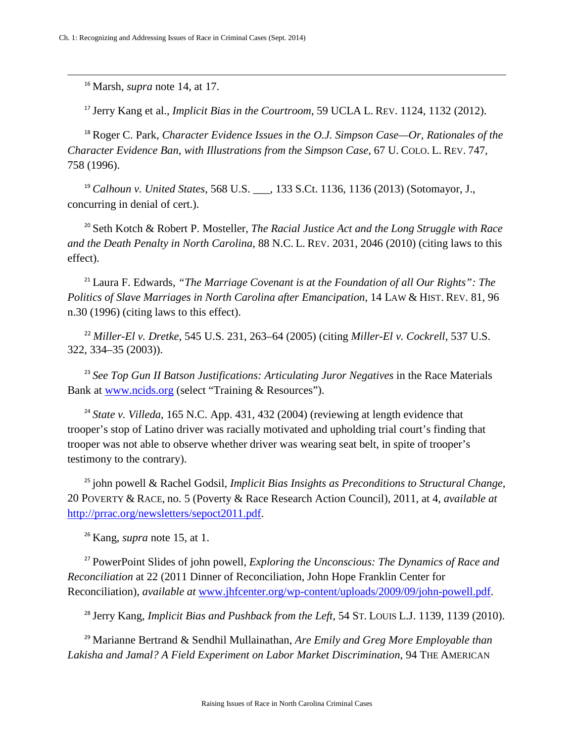<sup>16</sup> Marsh, *supra* note 14, at 17.

<span id="page-11-3"></span> $\overline{\phantom{a}}$ 

<sup>17</sup> Jerry Kang et al., *Implicit Bias in the Courtroom*, 59 UCLA L. REV. 1124, 1132 (2012).

<span id="page-11-5"></span><span id="page-11-4"></span><sup>18</sup> Roger C. Park, *Character Evidence Issues in the O.J. Simpson Case--Or, Rationales of the Character Evidence Ban, with Illustrations from the Simpson Case*, 67 U. COLO. L. REV. 747, 758 (1996).

<span id="page-11-6"></span><sup>19</sup> *Calhoun v. United States*, 568 U.S. \_\_\_, 133 S.Ct. 1136, 1136 (2013) (Sotomayor, J., concurring in denial of cert.).

<sup>20</sup> Seth Kotch & Robert P. Mosteller, *The Racial Justice Act and the Long Struggle with Race and the Death Penalty in North Carolina*, 88 N.C. L. REV. 2031, 2046 (2010) (citing laws to this effect).

<sup>21</sup> Laura F. Edwards, *"The Marriage Covenant is at the Foundation of all Our Rights": The Politics of Slave Marriages in North Carolina after Emancipation*, 14 LAW & HIST. REV. 81, 96 n.30 (1996) (citing laws to this effect).

<sup>22</sup> *Miller-El v. Dretke*, 545 U.S. 231, 263–64 (2005) (citing *Miller-El v. Cockrell*, 537 U.S. 322, 334–35 (2003)).

<sup>23</sup> See Top Gun II Batson Justifications: Articulating Juror Negatives in the Race Materials Bank at [www.ncids.org](http://www.ncids.org/) (select "Training & Resources").

<sup>24</sup> State v. Villeda, 165 N.C. App. 431, 432 (2004) (reviewing at length evidence that trooper's stop of Latino driver was racially motivated and upholding trial court's finding that trooper was not able to observe whether driver was wearing seat belt, in spite of trooper's testimony to the contrary).

<sup>25</sup> john powell & Rachel Godsil, *Implicit Bias Insights as Preconditions to Structural Change*, 20 POVERTY & RACE, no. 5 (Poverty & Race Research Action Council), 2011, at 4, *available at*  [http://prrac.org/newsletters/sepoct2011.pdf.](http://prrac.org/newsletters/sepoct2011.pdf)

<sup>26</sup> Kang, *supra* note 15, at 1.

<span id="page-11-1"></span><span id="page-11-0"></span><sup>27</sup> PowerPoint Slides of john powell, *Exploring the Unconscious: The Dynamics of Race and Reconciliation* at 22 (2011 Dinner of Reconciliation, John Hope Franklin Center for Reconciliation), *available at* [www.jhfcenter.org/wp-content/uploads/2009/09/john-powell.pdf.](http://www.jhfcenter.org/wp-content/uploads/2009/09/john-powell.pdf)

<sup>28</sup> Jerry Kang, *Implicit Bias and Pushback from the Left*, 54 ST. LOUIS L.J. 1139, 1139 (2010).

<span id="page-11-2"></span><sup>29</sup> Marianne Bertrand & Sendhil Mullainathan, *Are Emily and Greg More Employable than Lakisha and Jamal? A Field Experiment on Labor Market Discrimination*, 94 THE AMERICAN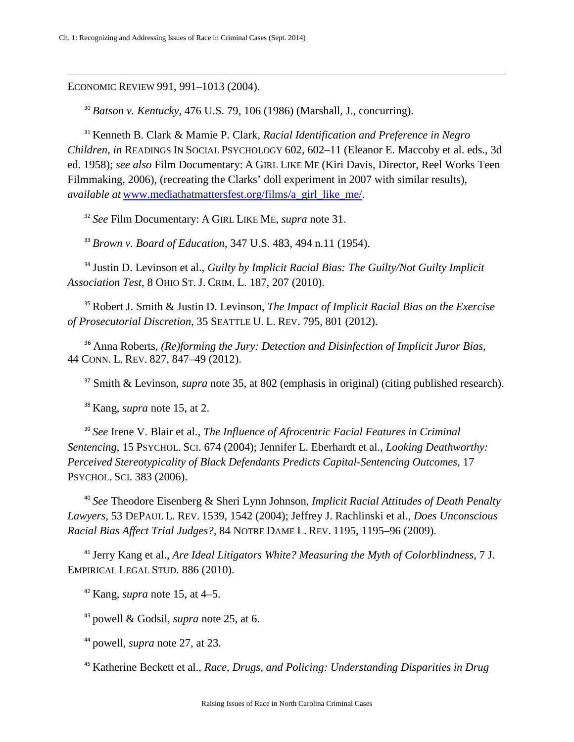ECONOMIC REVIEW 991, 991–1013 (2004).

 $\overline{\phantom{a}}$ 

<sup>30</sup> *Batson v. Kentucky,* 476 U.S. 79, 106 (1986) (Marshall, J., concurring).

<sup>31</sup> Kenneth B. Clark & Mamie P. Clark, *Racial Identification and Preference in Negro Children*, *in* READINGS IN SOCIAL PSYCHOLOGY 602, 602–11 (Eleanor E. Maccoby et al. eds., 3d ed. 1958); *see also* Film Documentary: A GIRL LIKE ME (Kiri Davis, Director, Reel Works Teen Filmmaking, 2006)*,* (recreating the Clarks' doll experiment in 2007 with similar results), *available at* [www.mediathatmattersfest.org/films/a\\_girl\\_like\\_me/.](http://www.mediathatmattersfest.org/films/a_girl_like_me/)

<sup>32</sup> *See* Film Documentary: A GIRL LIKE ME, *supra* note 31.

<sup>33</sup> *Brown v. Board of Education*, 347 U.S. 483, 494 n.11 (1954).

<span id="page-12-1"></span><span id="page-12-0"></span><sup>34</sup> Justin D. Levinson et al., *Guilty by Implicit Racial Bias: The Guilty/Not Guilty Implicit Association Test*, 8 OHIO ST. J. CRIM. L. 187, 207 (2010).

<sup>35</sup> Robert J. Smith & Justin D. Levinson, *The Impact of Implicit Racial Bias on the Exercise of Prosecutorial Discretion*, 35 SEATTLE U. L. REV. 795, 801 (2012).

<span id="page-12-3"></span><span id="page-12-2"></span><sup>36</sup> Anna Roberts, *(Re)forming the Jury: Detection and Disinfection of Implicit Juror Bias*, 44 CONN. L. REV. 827, 847–49 (2012).

<sup>37</sup> Smith & Levinson, *supra* note 35, at 802 (emphasis in original) (citing published research).

<sup>38</sup> Kang, *supra* note 15, at 2.

<span id="page-12-4"></span><sup>39</sup> *See* Irene V. Blair et al., *The Influence of Afrocentric Facial Features in Criminal Sentencing*, 15 PSYCHOL. SCI. 674 (2004); Jennifer L. Eberhardt et al., *Looking Deathworthy: Perceived Stereotypicality of Black Defendants Predicts Capital-Sentencing Outcomes*, 17 PSYCHOL. SCI. 383 (2006).

<sup>40</sup> *See* Theodore Eisenberg & Sheri Lynn Johnson, *Implicit Racial Attitudes of Death Penalty Lawyers*, 53 DEPAUL L. REV. 1539, 1542 (2004); Jeffrey J. Rachlinski et al., *Does Unconscious Racial Bias Affect Trial Judges?*, 84 NOTRE DAME L. REV. 1195, 1195–96 (2009).

<sup>41</sup> Jerry Kang et al., *Are Ideal Litigators White? Measuring the Myth of Colorblindness*, 7 J. EMPIRICAL LEGAL STUD. 886 (2010).

<sup>42</sup> Kang, *supra* note 15, at 4–5.

<sup>43</sup> powell & Godsil, *supra* note 25, at 6.

<sup>44</sup> powell, *supra* note 27, at 23.

<sup>45</sup> Katherine Beckett et al., *Race, Drugs, and Policing: Understanding Disparities in Drug*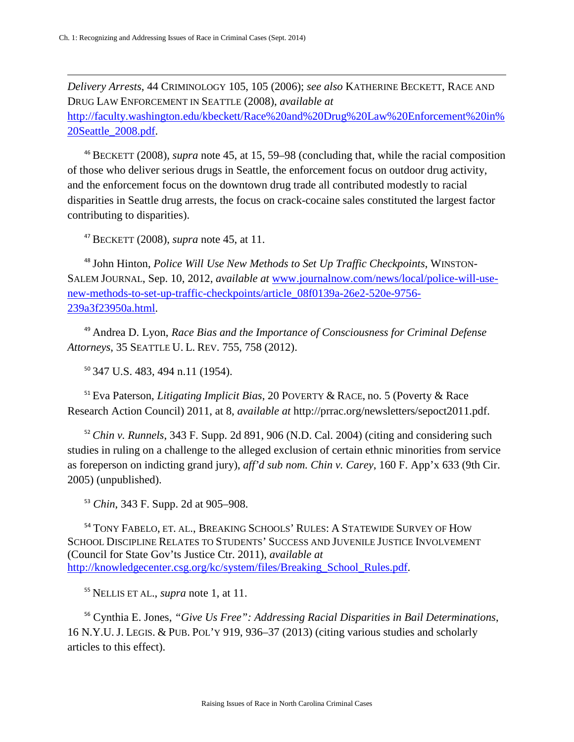$\overline{\phantom{a}}$ 

*Delivery Arrests*, 44 CRIMINOLOGY 105, 105 (2006); *see also* KATHERINE BECKETT, RACE AND DRUG LAW ENFORCEMENT IN SEATTLE (2008), *available at* 

<span id="page-13-6"></span><span id="page-13-5"></span>[http://faculty.washington.edu/kbeckett/Race%20and%20Drug%20Law%20Enforcement%20in%](http://faculty.washington.edu/kbeckett/Race%20and%20Drug%20Law%20Enforcement%20in%20Seattle_2008.pdf) [20Seattle\\_2008.pdf.](http://faculty.washington.edu/kbeckett/Race%20and%20Drug%20Law%20Enforcement%20in%20Seattle_2008.pdf)

<sup>46</sup> BECKETT (2008), *supra* note 45, at 15, 59–98 (concluding that, while the racial composition of those who deliver serious drugs in Seattle, the enforcement focus on outdoor drug activity, and the enforcement focus on the downtown drug trade all contributed modestly to racial disparities in Seattle drug arrests, the focus on crack-cocaine sales constituted the largest factor contributing to disparities).

<sup>47</sup> BECKETT (2008), *supra* note 45, at 11.

<span id="page-13-9"></span><span id="page-13-8"></span><span id="page-13-7"></span><sup>48</sup> John Hinton, *Police Will Use New Methods to Set Up Traffic Checkpoints*, WINSTON-SALEM JOURNAL, Sep. 10, 2012, *available at* [www.journalnow.com/news/local/police-will-use](http://www.journalnow.com/news/local/police-will-use-new-methods-to-set-up-traffic-checkpoints/article_08f0139a-26e2-520e-9756-239a3f23950a.html)[new-methods-to-set-up-traffic-checkpoints/article\\_08f0139a-26e2-520e-9756-](http://www.journalnow.com/news/local/police-will-use-new-methods-to-set-up-traffic-checkpoints/article_08f0139a-26e2-520e-9756-239a3f23950a.html) [239a3f23950a.html.](http://www.journalnow.com/news/local/police-will-use-new-methods-to-set-up-traffic-checkpoints/article_08f0139a-26e2-520e-9756-239a3f23950a.html)

<span id="page-13-11"></span><span id="page-13-10"></span><sup>49</sup> Andrea D. Lyon, *Race Bias and the Importance of Consciousness for Criminal Defense Attorneys*, 35 SEATTLE U. L. REV. 755, 758 (2012).

<sup>50</sup> 347 U.S. 483, 494 n.11 (1954).

<span id="page-13-13"></span><span id="page-13-12"></span><sup>51</sup> Eva Paterson, *Litigating Implicit Bias*, 20 POVERTY & RACE, no. 5 (Poverty & Race Research Action Council) 2011, at 8, *available at* http://prrac.org/newsletters/sepoct2011.pdf.

<sup>52</sup> *Chin v. Runnels*, 343 F. Supp. 2d 891, 906 (N.D. Cal. 2004) (citing and considering such studies in ruling on a challenge to the alleged exclusion of certain ethnic minorities from service as foreperson on indicting grand jury), *aff'd sub nom. Chin v. Carey*, 160 F. App'x 633 (9th Cir. 2005) (unpublished).

<sup>53</sup> *Chin*, 343 F. Supp. 2d at 905–908.

<span id="page-13-2"></span><span id="page-13-1"></span><span id="page-13-0"></span><sup>54</sup> TONY FABELO, ET. AL., BREAKING SCHOOLS' RULES: A STATEWIDE SURVEY OF HOW SCHOOL DISCIPLINE RELATES TO STUDENTS' SUCCESS AND JUVENILE JUSTICE INVOLVEMENT (Council for State Gov'ts Justice Ctr. 2011), *available at* [http://knowledgecenter.csg.org/kc/system/files/Breaking\\_School\\_Rules.pdf.](http://knowledgecenter.csg.org/kc/system/files/Breaking_School_Rules.pdf)

<sup>55</sup> NELLIS ET AL., *supra* note 1, at 11.

<span id="page-13-4"></span><span id="page-13-3"></span><sup>56</sup> Cynthia E. Jones, *"Give Us Free": Addressing Racial Disparities in Bail Determinations*, 16 N.Y.U. J. LEGIS. & PUB. POL'Y 919, 936–37 (2013) (citing various studies and scholarly articles to this effect).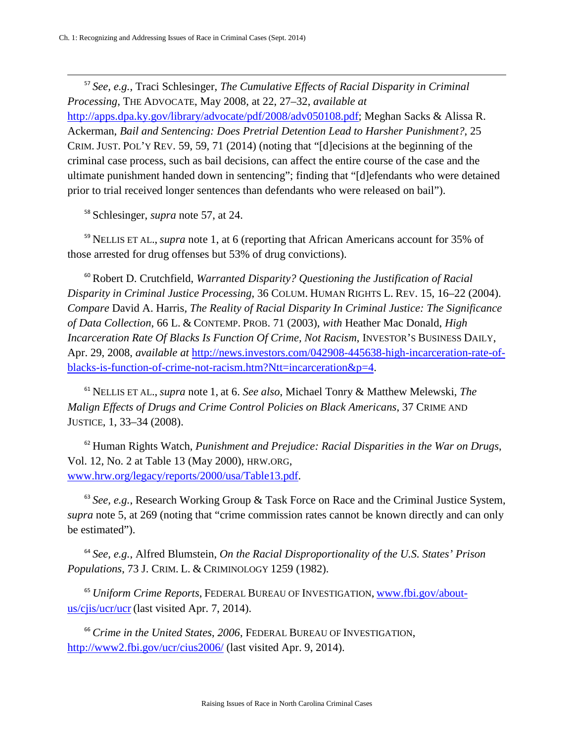<sup>57</sup> *See, e.g.*, Traci Schlesinger, *The Cumulative Effects of Racial Disparity in Criminal Processing*, THE ADVOCATE, May 2008, at 22, 27–32, *available at* [http://apps.dpa.ky.gov/library/advocate/pdf/2008/adv050108.pdf;](http://apps.dpa.ky.gov/library/advocate/pdf/2008/adv050108.pdf) Meghan Sacks & Alissa R. Ackerman, *Bail and Sentencing: Does Pretrial Detention Lead to Harsher Punishment?*, 25 CRIM. JUST. POL'Y REV. 59, 59, 71 (2014) (noting that "[d]ecisions at the beginning of the criminal case process, such as bail decisions, can affect the entire course of the case and the ultimate punishment handed down in sentencing"; finding that "[d]efendants who were detained prior to trial received longer sentences than defendants who were released on bail").  $\overline{\phantom{a}}$ 

<span id="page-14-7"></span><sup>58</sup> Schlesinger, *supra* note 57, at 24.

<span id="page-14-8"></span><sup>59</sup> NELLIS ET AL., *supra* note 1, at 6 (reporting that African Americans account for 35% of those arrested for drug offenses but 53% of drug convictions).

<span id="page-14-9"></span><sup>60</sup> Robert D. Crutchfield, *Warranted Disparity? Questioning the Justification of Racial Disparity in Criminal Justice Processing*, 36 COLUM. HUMAN RIGHTS L. REV. 15, 16–22 (2004). *Compare* David A. Harris*, The Reality of Racial Disparity In Criminal Justice: The Significance of Data Collection*, 66 L. & CONTEMP. PROB. 71 (2003), *with* Heather Mac Donald, *High Incarceration Rate Of Blacks Is Function Of Crime, Not Racism*, INVESTOR'S BUSINESS DAILY, Apr. 29, 2008, *available at* [http://news.investors.com/042908-445638-high-incarceration-rate-of](http://news.investors.com/042908-445638-high-incarceration-rate-of-blacks-is-function-of-crime-not-racism.htm?Ntt=incarceration&p=4)[blacks-is-function-of-crime-not-racism.htm?Ntt=incarceration&p=4.](http://news.investors.com/042908-445638-high-incarceration-rate-of-blacks-is-function-of-crime-not-racism.htm?Ntt=incarceration&p=4)

<sup>61</sup> NELLIS ET AL., *supra* note 1, at 6. *See also*, Michael Tonry & Matthew Melewski, *The Malign Effects of Drugs and Crime Control Policies on Black Americans*, 37 CRIME AND JUSTICE, 1, 33–34 (2008).

<span id="page-14-0"></span><sup>62</sup> Human Rights Watch, *Punishment and Prejudice: Racial Disparities in the War on Drugs*, Vol. 12, No. 2 at Table 13 (May 2000), HRW.ORG, [www.hrw.org/legacy/reports/2000/usa/Table13.pdf.](http://www.hrw.org/legacy/reports/2000/usa/Table13.pdf)

<span id="page-14-1"></span><sup>63</sup> See, e.g., Research Working Group & Task Force on Race and the Criminal Justice System, *supra* note 5, at 269 (noting that "crime commission rates cannot be known directly and can only be estimated").

<span id="page-14-2"></span><sup>64</sup> *See, e.g.*, Alfred Blumstein, *On the Racial Disproportionality of the U.S. States' Prison Populations*, 73 J. CRIM. L. & CRIMINOLOGY 1259 (1982).

<span id="page-14-3"></span><sup>65</sup> *Uniform Crime Reports*, FEDERAL BUREAU OF INVESTIGATION, [www.fbi.gov/about](http://www.fbi.gov/about-us/cjis/ucr/ucr)[us/cjis/ucr/ucr](http://www.fbi.gov/about-us/cjis/ucr/ucr) (last visited Apr. 7, 2014).

<span id="page-14-6"></span><span id="page-14-5"></span><span id="page-14-4"></span><sup>66</sup> *Crime in the United States*, *2006*, FEDERAL BUREAU OF INVESTIGATION, <http://www2.fbi.gov/ucr/cius2006/> (last visited Apr. 9, 2014).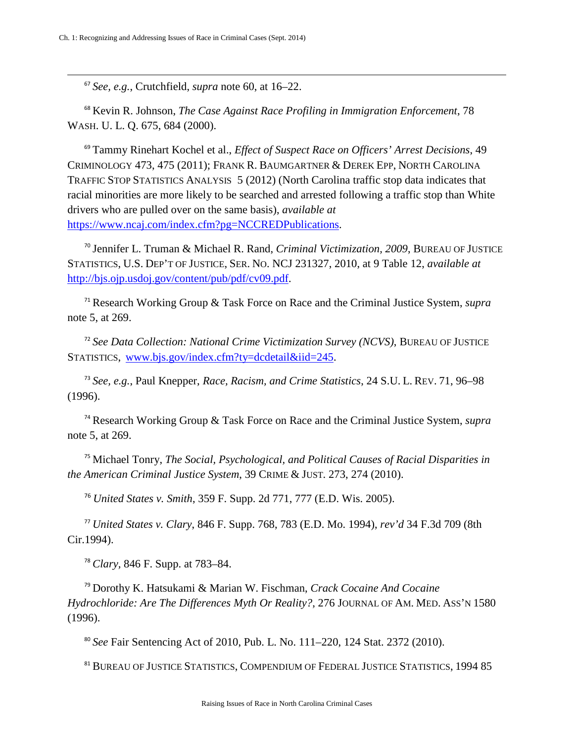$\overline{\phantom{a}}$ 

<sup>67</sup> *See, e.g.*, Crutchfield, *supra* note 60, at 16–22.

<sup>68</sup> Kevin R. Johnson, *The Case Against Race Profiling in Immigration Enforcement*, 78 WASH. U. L. Q. 675, 684 (2000).

<sup>69</sup> Tammy Rinehart Kochel et al., *Effect of Suspect Race on Officers' Arrest Decisions*, 49 CRIMINOLOGY 473, 475 (2011); FRANK R. BAUMGARTNER & DEREK EPP, NORTH CAROLINA TRAFFIC STOP STATISTICS ANALYSIS 5 (2012) (North Carolina traffic stop data indicates that racial minorities are more likely to be searched and arrested following a traffic stop than White drivers who are pulled over on the same basis), *available at* [https://www.ncaj.com/index.cfm?pg=NCCREDPublications.](https://www.ncaj.com/index.cfm?pg=NCCREDPublications)

<sup>70</sup> Jennifer L. Truman & Michael R. Rand, *Criminal Victimization, 2009*, BUREAU OF JUSTICE STATISTICS, U.S. DEP'T OF JUSTICE, SER. NO. NCJ 231327, 2010, at 9 Table 12, *available at* [http://bjs.ojp.usdoj.gov/content/pub/pdf/cv09.pdf.](http://bjs.ojp.usdoj.gov/content/pub/pdf/cv09.pdf)

<sup>71</sup> Research Working Group & Task Force on Race and the Criminal Justice System, *supra* note 5, at 269.

<span id="page-15-0"></span><sup>72</sup> *See Data Collection: National Crime Victimization Survey (NCVS)*, BUREAU OF JUSTICE STATISTICS, [www.bjs.gov/index.cfm?ty=dcdetail&iid=245.](http://www.bjs.gov/index.cfm?ty=dcdetail&iid=245)

<span id="page-15-2"></span><span id="page-15-1"></span><sup>73</sup> *See, e.g.*, Paul Knepper, *Race, Racism, and Crime Statistics*, 24 S.U. L. REV. 71, 96–98 (1996).

<span id="page-15-3"></span><sup>74</sup> Research Working Group & Task Force on Race and the Criminal Justice System, *supra* note 5, at 269.

<sup>75</sup> Michael Tonry, *The Social, Psychological, and Political Causes of Racial Disparities in the American Criminal Justice System*, 39 CRIME & JUST. 273, 274 (2010).

<sup>76</sup> *United States v. Smith*, 359 F. Supp. 2d 771, 777 (E.D. Wis. 2005).

<span id="page-15-5"></span><span id="page-15-4"></span><sup>77</sup> *United States v. Clary*, 846 F. Supp. 768, 783 (E.D. Mo. 1994), *rev'd* 34 F.3d 709 (8th Cir.1994).

<sup>78</sup> *Clary,* 846 F. Supp. at 783–84.

<span id="page-15-6"></span><sup>79</sup> Dorothy K. Hatsukami & Marian W. Fischman, *Crack Cocaine And Cocaine Hydrochloride: Are The Differences Myth Or Reality?*, 276 JOURNAL OF AM. MED. ASS'N 1580 (1996).

<sup>80</sup> *See* Fair Sentencing Act of 2010, Pub. L. No. 111–220, 124 Stat. 2372 (2010).

<sup>81</sup> BUREAU OF JUSTICE STATISTICS, COMPENDIUM OF FEDERAL JUSTICE STATISTICS, 1994 85